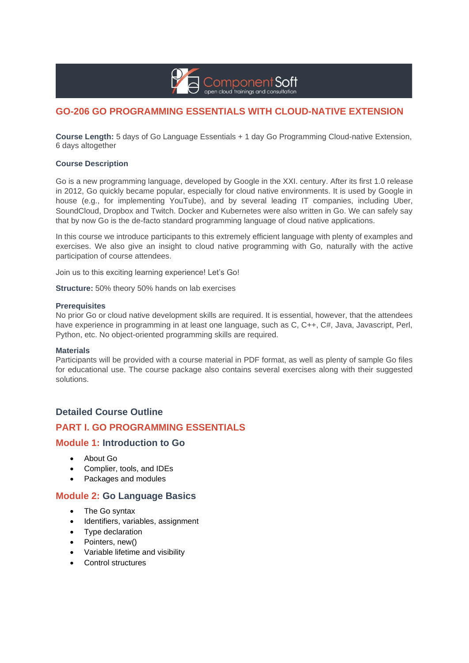

# **GO-206 GO PROGRAMMING ESSENTIALS WITH CLOUD-NATIVE EXTENSION**

**Course Length:** 5 days of Go Language Essentials + 1 day Go Programming Cloud-native Extension, 6 days altogether

#### **Course Description**

Go is a new programming language, developed by Google in the XXI. century. After its first 1.0 release in 2012, Go quickly became popular, especially for cloud native environments. It is used by Google in house (e.g., for implementing YouTube), and by several leading IT companies, including Uber, SoundCloud, Dropbox and Twitch. Docker and Kubernetes were also written in Go. We can safely say that by now Go is the de-facto standard programming language of cloud native applications.

In this course we introduce participants to this extremely efficient language with plenty of examples and exercises. We also give an insight to cloud native programming with Go, naturally with the active participation of course attendees.

Join us to this exciting learning experience! Let's Go!

**Structure:** 50% theory 50% hands on lab exercises

#### **Prerequisites**

No prior Go or cloud native development skills are required. It is essential, however, that the attendees have experience in programming in at least one language, such as C, C++, C#, Java, Javascript, Perl, Python, etc. No object-oriented programming skills are required.

#### **Materials**

Participants will be provided with a course material in PDF format, as well as plenty of sample Go files for educational use. The course package also contains several exercises along with their suggested solutions.

#### **Detailed Course Outline**

## **PART I. GO PROGRAMMING ESSENTIALS**

#### **Module 1: Introduction to Go**

- About Go
- Complier, tools, and IDEs
- Packages and modules

#### **Module 2: Go Language Basics**

- The Go syntax
- Identifiers, variables, assignment
- Type declaration
- Pointers, new()
- Variable lifetime and visibility
- Control structures